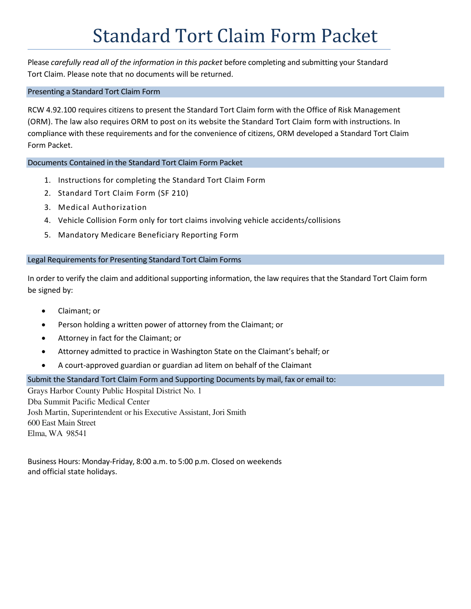# Standard Tort Claim Form Packet

Please *carefully read all of the information in this packet* before completing and submitting your Standard Tort Claim. Please note that no documents will be returned.

#### Presenting a Standard Tort Claim Form

RCW 4.92.100 requires citizens to present the Standard Tort Claim form with the Office of Risk Management (ORM). The law also requires ORM to post on its website the Standard Tort Claim form with instructions. In compliance with these requirements and for the convenience of citizens, ORM developed a Standard Tort Claim Form Packet.

Documents Contained in the Standard Tort Claim Form Packet

- 1. Instructions for completing the Standard Tort Claim Form
- 2. Standard Tort Claim Form (SF 210)
- 3. Medical Authorization
- 4. Vehicle Collision Form only for tort claims involving vehicle accidents/collisions
- 5. Mandatory Medicare Beneficiary Reporting Form

#### Legal Requirements for Presenting Standard Tort Claim Forms

In order to verify the claim and additional supporting information, the law requires that the Standard Tort Claim form be signed by:

- Claimant; or
- Person holding a written power of attorney from the Claimant; or
- Attorney in fact for the Claimant; or
- Attorney admitted to practice in Washington State on the Claimant's behalf; or
- A court-approved guardian or guardian ad litem on behalf of the Claimant

#### Submit the Standard Tort Claim Form and Supporting Documents by mail, fax or email to:

Grays Harbor County Public Hospital District No. 1 Dba Summit Pacific Medical Center Josh Martin, Superintendent or his Executive Assistant, Jori Smith 600 East Main Street Elma, WA 98541

Business Hours: Monday-Friday, 8:00 a.m. to 5:00 p.m. Closed on weekends and official state holidays.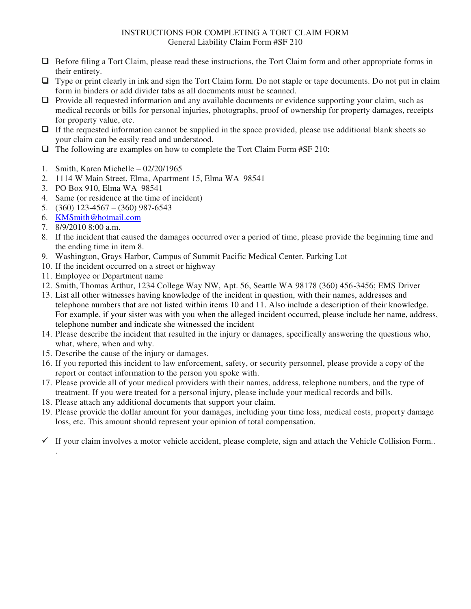## INSTRUCTIONS FOR COMPLETING A TORT CLAIM FORM General Liability Claim Form #SF 210

- Before filing a Tort Claim, please read these instructions, the Tort Claim form and other appropriate forms in their entirety.
- Type or print clearly in ink and sign the Tort Claim form. Do not staple or tape documents. Do not put in claim form in binders or add divider tabs as all documents must be scanned.
- $\Box$  Provide all requested information and any available documents or evidence supporting your claim, such as medical records or bills for personal injuries, photographs, proof of ownership for property damages, receipts for property value, etc.
- $\Box$  If the requested information cannot be supplied in the space provided, please use additional blank sheets so your claim can be easily read and understood.
- $\Box$  The following are examples on how to complete the Tort Claim Form #SF 210:
- 1. Smith, Karen Michelle 02/20/1965
- 2. 1114 W Main Street, Elma, Apartment 15, Elma WA 98541
- 3. PO Box 910, Elma WA 98541
- 4. Same (or residence at the time of incident)
- 5. (360) 123-4567 (360) 987-6543
- 6. [KMSmith@hotmail.com](mailto:KMSmith@hotmail.com)
- 7. 8/9/2010 8:00 a.m.

.

- 8. If the incident that caused the damages occurred over a period of time, please provide the beginning time and the ending time in item 8.
- 9. Washington, Grays Harbor, Campus of Summit Pacific Medical Center, Parking Lot
- 10. If the incident occurred on a street or highway
- 11. Employee or Department name
- 12. Smith, Thomas Arthur, 1234 College Way NW, Apt. 56, Seattle WA 98178 (360) 456-3456; EMS Driver
- 13. List all other witnesses having knowledge of the incident in question, with their names, addresses and telephone numbers that are not listed within items 10 and 11. Also include a description of their knowledge. For example, if your sister was with you when the alleged incident occurred, please include her name, address, telephone number and indicate she witnessed the incident
- 14. Please describe the incident that resulted in the injury or damages, specifically answering the questions who, what, where, when and why.
- 15. Describe the cause of the injury or damages.
- 16. If you reported this incident to law enforcement, safety, or security personnel, please provide a copy of the report or contact information to the person you spoke with.
- 17. Please provide all of your medical providers with their names, address, telephone numbers, and the type of treatment. If you were treated for a personal injury, please include your medical records and bills.
- 18. Please attach any additional documents that support your claim.
- 19. Please provide the dollar amount for your damages, including your time loss, medical costs, property damage loss, etc. This amount should represent your opinion of total compensation.
- $\checkmark$  If your claim involves a motor vehicle accident, please complete, sign and attach the Vehicle Collision Form..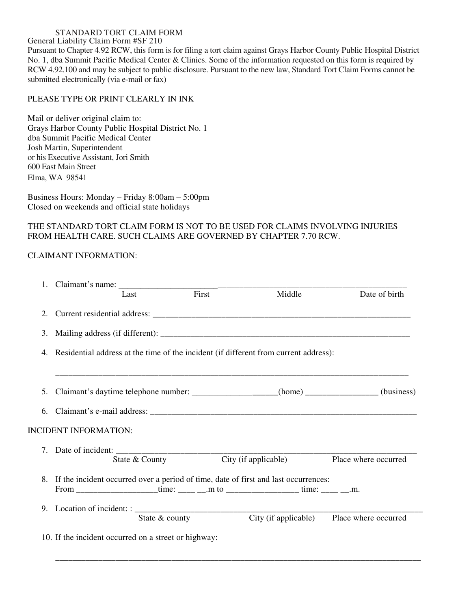#### STANDARD TORT CLAIM FORM

General Liability Claim Form #SF 210

Pursuant to Chapter 4.92 RCW, this form is for filing a tort claim against Grays Harbor County Public Hospital District No. 1, dba Summit Pacific Medical Center & Clinics. Some of the information requested on this form is required by RCW 4.92.100 and may be subject to public disclosure. Pursuant to the new law, Standard Tort Claim Forms cannot be submitted electronically (via e-mail or fax)

## PLEASE TYPE OR PRINT CLEARLY IN INK

Mail or deliver original claim to: Grays Harbor County Public Hospital District No. 1 dba Summit Pacific Medical Center Josh Martin, Superintendent or his Executive Assistant, Jori Smith 600 East Main Street Elma, WA 98541

Business Hours: Monday – Friday 8:00am – 5:00pm Closed on weekends and official state holidays

## THE STANDARD TORT CLAIM FORM IS NOT TO BE USED FOR CLAIMS INVOLVING INJURIES FROM HEALTH CARE. SUCH CLAIMS ARE GOVERNED BY CHAPTER 7.70 RCW.

## CLAIMANT INFORMATION:

|    |                                                                                                                                                                              | Last           | First          | Middle               | Date of birth                                                                         |  |  |  |  |
|----|------------------------------------------------------------------------------------------------------------------------------------------------------------------------------|----------------|----------------|----------------------|---------------------------------------------------------------------------------------|--|--|--|--|
| 2. |                                                                                                                                                                              |                |                |                      |                                                                                       |  |  |  |  |
| 3. |                                                                                                                                                                              |                |                |                      |                                                                                       |  |  |  |  |
| 4. | Residential address at the time of the incident (if different from current address):                                                                                         |                |                |                      |                                                                                       |  |  |  |  |
| 5. |                                                                                                                                                                              |                |                |                      | Claimant's daytime telephone number: __________________(home) _____________(business) |  |  |  |  |
|    |                                                                                                                                                                              |                |                |                      |                                                                                       |  |  |  |  |
|    | <b>INCIDENT INFORMATION:</b>                                                                                                                                                 |                |                |                      |                                                                                       |  |  |  |  |
|    |                                                                                                                                                                              |                |                |                      |                                                                                       |  |  |  |  |
|    |                                                                                                                                                                              | State & County |                | City (if applicable) | Place where occurred                                                                  |  |  |  |  |
| 8. | If the incident occurred over a period of time, date of first and last occurrences:<br>From _____________________time: _____ __.m to ______________________time: _____ __.m. |                |                |                      |                                                                                       |  |  |  |  |
|    |                                                                                                                                                                              |                |                |                      |                                                                                       |  |  |  |  |
|    |                                                                                                                                                                              |                |                |                      |                                                                                       |  |  |  |  |
|    |                                                                                                                                                                              |                | State & county |                      | City (if applicable) Place where occurred                                             |  |  |  |  |
|    | 10. If the incident occurred on a street or highway:                                                                                                                         |                |                |                      |                                                                                       |  |  |  |  |
|    |                                                                                                                                                                              |                |                |                      |                                                                                       |  |  |  |  |
|    |                                                                                                                                                                              |                |                |                      |                                                                                       |  |  |  |  |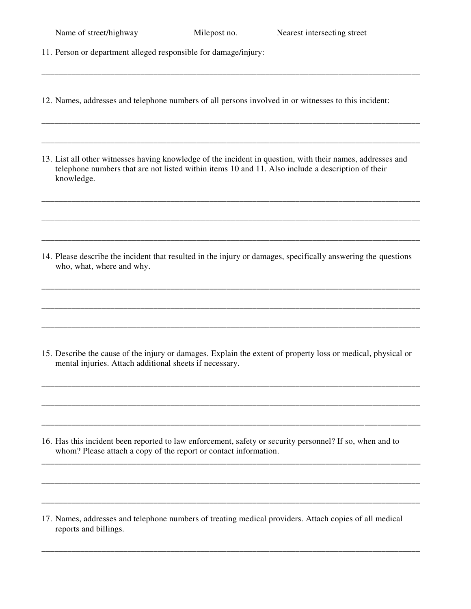| Name of street/highway |  |  |  |
|------------------------|--|--|--|
|                        |  |  |  |

11. Person or department alleged responsible for damage/injury:

12. Names, addresses and telephone numbers of all persons involved in or witnesses to this incident:

\_\_\_\_\_\_\_\_\_\_\_\_\_\_\_\_\_\_\_\_\_\_\_\_\_\_\_\_\_\_\_\_\_\_\_\_\_\_\_\_\_\_\_\_\_\_\_\_\_\_\_\_\_\_\_\_\_\_\_\_\_\_\_\_\_\_\_\_\_\_\_\_\_\_\_\_\_\_\_\_\_\_\_\_\_\_\_\_

\_\_\_\_\_\_\_\_\_\_\_\_\_\_\_\_\_\_\_\_\_\_\_\_\_\_\_\_\_\_\_\_\_\_\_\_\_\_\_\_\_\_\_\_\_\_\_\_\_\_\_\_\_\_\_\_\_\_\_\_\_\_\_\_\_\_\_\_\_\_\_\_\_\_\_\_\_\_\_\_\_\_\_\_\_\_\_\_

\_\_\_\_\_\_\_\_\_\_\_\_\_\_\_\_\_\_\_\_\_\_\_\_\_\_\_\_\_\_\_\_\_\_\_\_\_\_\_\_\_\_\_\_\_\_\_\_\_\_\_\_\_\_\_\_\_\_\_\_\_\_\_\_\_\_\_\_\_\_\_\_\_\_\_\_\_\_\_\_\_\_\_\_\_\_\_\_

\_\_\_\_\_\_\_\_\_\_\_\_\_\_\_\_\_\_\_\_\_\_\_\_\_\_\_\_\_\_\_\_\_\_\_\_\_\_\_\_\_\_\_\_\_\_\_\_\_\_\_\_\_\_\_\_\_\_\_\_\_\_\_\_\_\_\_\_\_\_\_\_\_\_\_\_\_\_\_\_\_\_\_\_\_\_\_\_

\_\_\_\_\_\_\_\_\_\_\_\_\_\_\_\_\_\_\_\_\_\_\_\_\_\_\_\_\_\_\_\_\_\_\_\_\_\_\_\_\_\_\_\_\_\_\_\_\_\_\_\_\_\_\_\_\_\_\_\_\_\_\_\_\_\_\_\_\_\_\_\_\_\_\_\_\_\_\_\_\_\_\_\_\_\_\_\_

\_\_\_\_\_\_\_\_\_\_\_\_\_\_\_\_\_\_\_\_\_\_\_\_\_\_\_\_\_\_\_\_\_\_\_\_\_\_\_\_\_\_\_\_\_\_\_\_\_\_\_\_\_\_\_\_\_\_\_\_\_\_\_\_\_\_\_\_\_\_\_\_\_\_\_\_\_\_\_\_\_\_\_\_\_\_\_\_

\_\_\_\_\_\_\_\_\_\_\_\_\_\_\_\_\_\_\_\_\_\_\_\_\_\_\_\_\_\_\_\_\_\_\_\_\_\_\_\_\_\_\_\_\_\_\_\_\_\_\_\_\_\_\_\_\_\_\_\_\_\_\_\_\_\_\_\_\_\_\_\_\_\_\_\_\_\_\_\_\_\_\_\_\_\_\_\_

\_\_\_\_\_\_\_\_\_\_\_\_\_\_\_\_\_\_\_\_\_\_\_\_\_\_\_\_\_\_\_\_\_\_\_\_\_\_\_\_\_\_\_\_\_\_\_\_\_\_\_\_\_\_\_\_\_\_\_\_\_\_\_\_\_\_\_\_\_\_\_\_\_\_\_\_\_\_\_\_\_\_\_\_\_\_\_\_

\_\_\_\_\_\_\_\_\_\_\_\_\_\_\_\_\_\_\_\_\_\_\_\_\_\_\_\_\_\_\_\_\_\_\_\_\_\_\_\_\_\_\_\_\_\_\_\_\_\_\_\_\_\_\_\_\_\_\_\_\_\_\_\_\_\_\_\_\_\_\_\_\_\_\_\_\_\_\_\_\_\_\_\_\_\_\_\_

13. List all other witnesses having knowledge of the incident in question, with their names, addresses and telephone numbers that are not listed within items 10 and 11. Also include a description of their knowledge.

14. Please describe the incident that resulted in the injury or damages, specifically answering the questions who, what, where and why.

15. Describe the cause of the injury or damages. Explain the extent of property loss or medical, physical or mental injuries. Attach additional sheets if necessary.

\_\_\_\_\_\_\_\_\_\_\_\_\_\_\_\_\_\_\_\_\_\_\_\_\_\_\_\_\_\_\_\_\_\_\_\_\_\_\_\_\_\_\_\_\_\_\_\_\_\_\_\_\_\_\_\_\_\_\_\_\_\_\_\_\_\_\_\_\_\_\_\_\_\_\_\_\_\_\_\_\_\_\_\_\_\_\_\_

\_\_\_\_\_\_\_\_\_\_\_\_\_\_\_\_\_\_\_\_\_\_\_\_\_\_\_\_\_\_\_\_\_\_\_\_\_\_\_\_\_\_\_\_\_\_\_\_\_\_\_\_\_\_\_\_\_\_\_\_\_\_\_\_\_\_\_\_\_\_\_\_\_\_\_\_\_\_\_\_\_\_\_\_\_\_\_\_

\_\_\_\_\_\_\_\_\_\_\_\_\_\_\_\_\_\_\_\_\_\_\_\_\_\_\_\_\_\_\_\_\_\_\_\_\_\_\_\_\_\_\_\_\_\_\_\_\_\_\_\_\_\_\_\_\_\_\_\_\_\_\_\_\_\_\_\_\_\_\_\_\_\_\_\_\_\_\_\_\_\_\_\_\_\_\_\_

\_\_\_\_\_\_\_\_\_\_\_\_\_\_\_\_\_\_\_\_\_\_\_\_\_\_\_\_\_\_\_\_\_\_\_\_\_\_\_\_\_\_\_\_\_\_\_\_\_\_\_\_\_\_\_\_\_\_\_\_\_\_\_\_\_\_\_\_\_\_\_\_\_\_\_\_\_\_\_\_\_\_\_\_\_\_\_\_

\_\_\_\_\_\_\_\_\_\_\_\_\_\_\_\_\_\_\_\_\_\_\_\_\_\_\_\_\_\_\_\_\_\_\_\_\_\_\_\_\_\_\_\_\_\_\_\_\_\_\_\_\_\_\_\_\_\_\_\_\_\_\_\_\_\_\_\_\_\_\_\_\_\_\_\_\_\_\_\_\_\_\_\_\_\_\_\_

\_\_\_\_\_\_\_\_\_\_\_\_\_\_\_\_\_\_\_\_\_\_\_\_\_\_\_\_\_\_\_\_\_\_\_\_\_\_\_\_\_\_\_\_\_\_\_\_\_\_\_\_\_\_\_\_\_\_\_\_\_\_\_\_\_\_\_\_\_\_\_\_\_\_\_\_\_\_\_\_\_\_\_\_\_\_\_\_

\_\_\_\_\_\_\_\_\_\_\_\_\_\_\_\_\_\_\_\_\_\_\_\_\_\_\_\_\_\_\_\_\_\_\_\_\_\_\_\_\_\_\_\_\_\_\_\_\_\_\_\_\_\_\_\_\_\_\_\_\_\_\_\_\_\_\_\_\_\_\_\_\_\_\_\_\_\_\_\_\_\_\_\_\_\_\_\_

- 16. Has this incident been reported to law enforcement, safety or security personnel? If so, when and to whom? Please attach a copy of the report or contact information.
- 17. Names, addresses and telephone numbers of treating medical providers. Attach copies of all medical reports and billings.